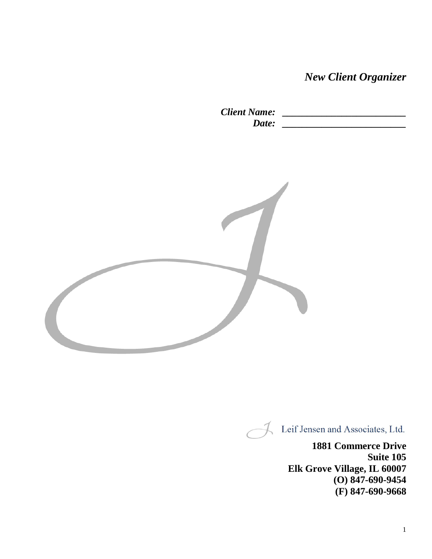*New Client Organizer*

*Client Name: \_\_\_\_\_\_\_\_\_\_\_\_\_\_\_\_\_\_\_\_\_\_\_\_\_ Date: \_\_\_\_\_\_\_\_\_\_\_\_\_\_\_\_\_\_\_\_\_\_\_\_\_*



Leif Jensen and Associates, Ltd.

**1881 Commerce Drive Suite 105 Elk Grove Village, IL 60007 (O) 847-690-9454 (F) 847-690-9668**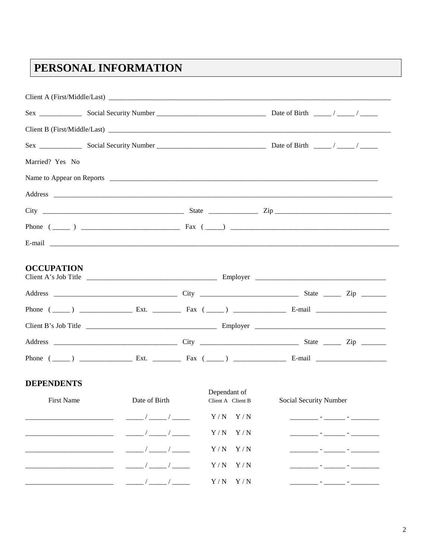## PERSONAL INFORMATION

| Married? Yes No   |                      |                   |                        |  |
|-------------------|----------------------|-------------------|------------------------|--|
|                   |                      |                   |                        |  |
|                   |                      |                   |                        |  |
|                   |                      |                   |                        |  |
|                   |                      |                   |                        |  |
|                   |                      |                   |                        |  |
| <b>OCCUPATION</b> |                      |                   |                        |  |
|                   |                      |                   |                        |  |
|                   |                      |                   |                        |  |
|                   |                      |                   |                        |  |
|                   |                      |                   |                        |  |
|                   |                      |                   |                        |  |
| <b>DEPENDENTS</b> |                      | Dependant of      |                        |  |
| First Name        | Date of Birth        | Client A Client B | Social Security Number |  |
|                   |                      | $Y/N$ $Y/N$       |                        |  |
|                   |                      | $Y/N$ $Y/N$       |                        |  |
|                   | $\frac{1}{\sqrt{2}}$ | $Y/N$ $Y/N$       |                        |  |
|                   |                      | Y/N<br>Y/N        |                        |  |
|                   |                      | $Y/N$ $Y/N$       |                        |  |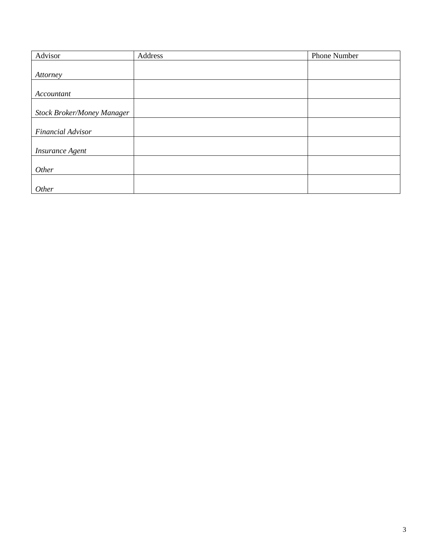| Advisor                           | Address | Phone Number |
|-----------------------------------|---------|--------------|
|                                   |         |              |
| Attorney                          |         |              |
|                                   |         |              |
| Accountant                        |         |              |
|                                   |         |              |
| <b>Stock Broker/Money Manager</b> |         |              |
|                                   |         |              |
| Financial Advisor                 |         |              |
|                                   |         |              |
| <b>Insurance Agent</b>            |         |              |
|                                   |         |              |
| Other                             |         |              |
|                                   |         |              |
| Other                             |         |              |